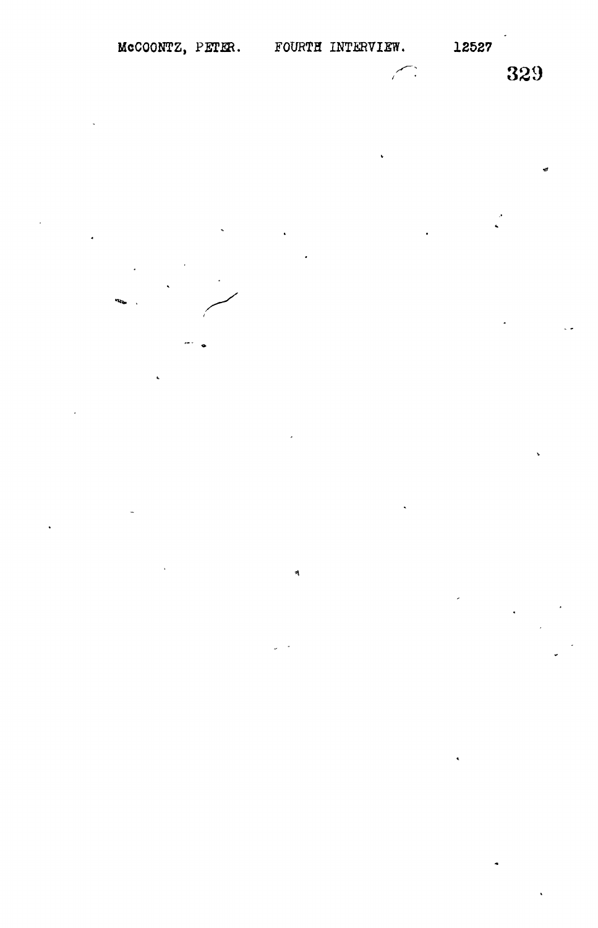|                                                                                      | MCCOONTZ, PETER. FOURTH INTERVIEW. |              |   |            | 12527                                                                                 |                                                                     |
|--------------------------------------------------------------------------------------|------------------------------------|--------------|---|------------|---------------------------------------------------------------------------------------|---------------------------------------------------------------------|
|                                                                                      |                                    |              |   | $\sqrt{2}$ |                                                                                       | 329                                                                 |
|                                                                                      |                                    |              |   |            |                                                                                       |                                                                     |
|                                                                                      |                                    |              |   |            |                                                                                       |                                                                     |
|                                                                                      |                                    |              | ٠ |            |                                                                                       |                                                                     |
|                                                                                      |                                    |              |   |            |                                                                                       |                                                                     |
|                                                                                      |                                    |              |   |            |                                                                                       |                                                                     |
|                                                                                      |                                    | $\bullet$    |   |            |                                                                                       |                                                                     |
|                                                                                      |                                    |              |   |            |                                                                                       |                                                                     |
|                                                                                      |                                    |              |   |            |                                                                                       |                                                                     |
|                                                                                      |                                    |              |   |            |                                                                                       |                                                                     |
|                                                                                      |                                    |              |   |            |                                                                                       |                                                                     |
|                                                                                      |                                    |              |   |            |                                                                                       |                                                                     |
|                                                                                      |                                    |              |   |            |                                                                                       |                                                                     |
|                                                                                      |                                    |              |   |            |                                                                                       |                                                                     |
|                                                                                      |                                    |              |   |            |                                                                                       |                                                                     |
|                                                                                      |                                    |              |   |            |                                                                                       |                                                                     |
|                                                                                      |                                    |              |   |            |                                                                                       |                                                                     |
|                                                                                      |                                    |              |   |            |                                                                                       |                                                                     |
| $\mathcal{L}(\mathcal{L})$ , $\mathcal{L}(\mathcal{L})$ , $\mathcal{L}(\mathcal{L})$ |                                    | $\vec{\eta}$ |   |            |                                                                                       |                                                                     |
|                                                                                      |                                    |              |   |            | $\mathcal{L}^{\mathcal{L}}(\mathcal{A})$ and $\mathcal{L}^{\mathcal{L}}(\mathcal{A})$ | $\bullet$ - $\bullet$ - $\bullet$                                   |
|                                                                                      |                                    | $\omega$ .   |   |            |                                                                                       | $\mathcal{L}^{\text{max}}_{\text{max}}$<br>$\overline{\phantom{a}}$ |
|                                                                                      |                                    |              |   |            |                                                                                       |                                                                     |
|                                                                                      |                                    |              |   |            |                                                                                       |                                                                     |
|                                                                                      |                                    |              |   |            |                                                                                       |                                                                     |
|                                                                                      |                                    |              |   |            | $\pmb{\epsilon}$                                                                      |                                                                     |
|                                                                                      |                                    |              |   |            |                                                                                       |                                                                     |

 $\ddot{\phantom{0}}$ 

 $\bullet$  .

 $\epsilon_{\rm{max}}$ 

 $\hat{\mathbf{v}}$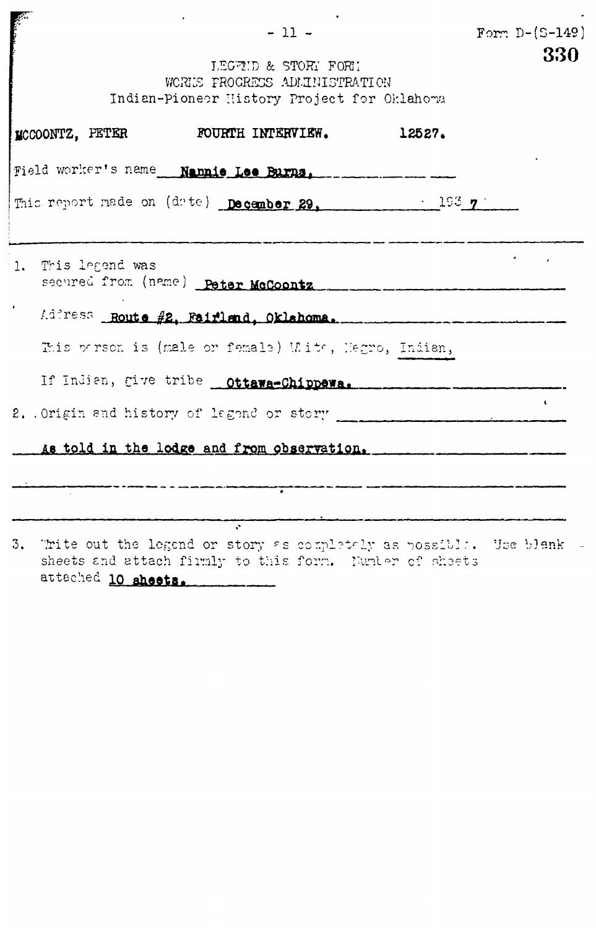|                    | $-11 -$<br>LEGEND & STORY FORM<br>WORKS PROGRESS ADMINISTRATION<br>Indian-Pioneer History Project for Oklahoma                    |  | Form $D-(S-149)$<br>330 |
|--------------------|-----------------------------------------------------------------------------------------------------------------------------------|--|-------------------------|
|                    | MCCOONTZ, PETER FOURTH INTERVIEW. 12527.                                                                                          |  |                         |
|                    | Field worker's name Nannie Lee Burns,                                                                                             |  |                         |
|                    | This report made on (date) <b>December 29.</b> 1937                                                                               |  |                         |
| 1. This legend was |                                                                                                                                   |  |                         |
|                    | Address Route #2, Fairland, Oklahoma.                                                                                             |  |                         |
|                    | This parson is (male or female) White, Negro, Indian,                                                                             |  |                         |
|                    |                                                                                                                                   |  |                         |
|                    | 2. Origin and history of lagend or story contains and history of lagend or story                                                  |  | $\mathbf{L}$            |
|                    | As told in the lodge and from observation.                                                                                        |  |                         |
|                    |                                                                                                                                   |  |                         |
|                    | 7                                                                                                                                 |  |                         |
|                    | 3. Thite out the legend or story as completely as possible. He blank -<br>sheets and attach firmly to this form. Number of sheets |  |                         |

 $\epsilon$ 

attached 10 sheets.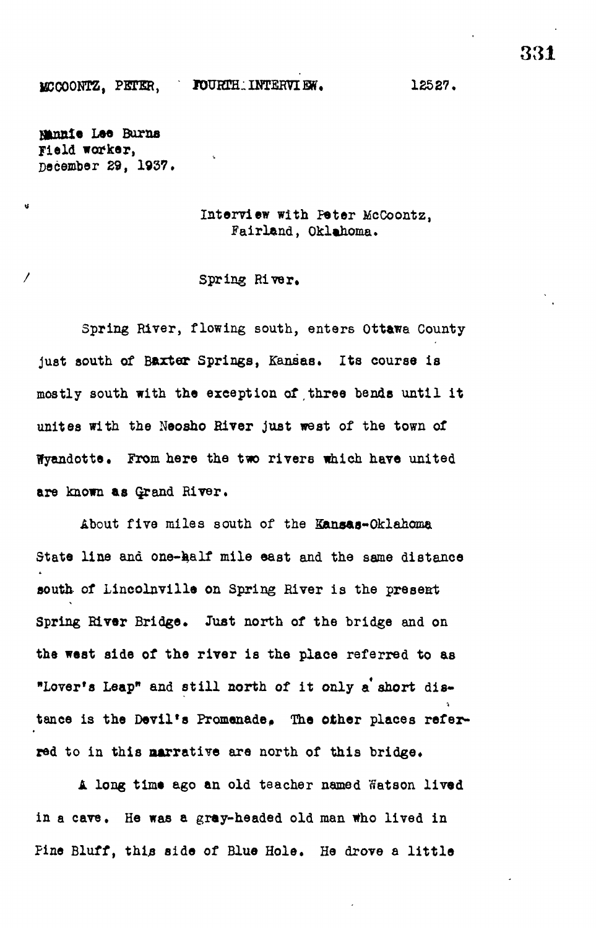M3C00NTZ, PETER, FOURTH: INTERVIEW. 12527,

Mannie Lee Burns Field worker, December 29, 1937.

 $\mathbf{d}$ 

# Interview with peter McCoontz, Fairland, Oklahoma.

### Spring River.

Spring River, flowing south, enters Ottawa County just south of Baxter Springs, Kansas. Its course is mostly south with the exception of three bends until it unites with the Neosho River just west of the town of Wyandotte. From here the two rivers which have united are known as Qrand River.

About five miles south of the Kansas-Oklahoma State line and one-haIf mile east and the same distance south of Lincolnville on Spring River is the present Spring River Bridge. Just north of the bridge and on the west side of the river is the place referred to as "Lover's Leap" and still north of it only a short distance is the Devil's Promenade, The other places referred to in this narrative are north of this bridge.

A long time ago an old teacher named Watson lived in a cave. He was a gray-headed old man who lived in Fine Bluff, this side of Blue Hole. He drove a little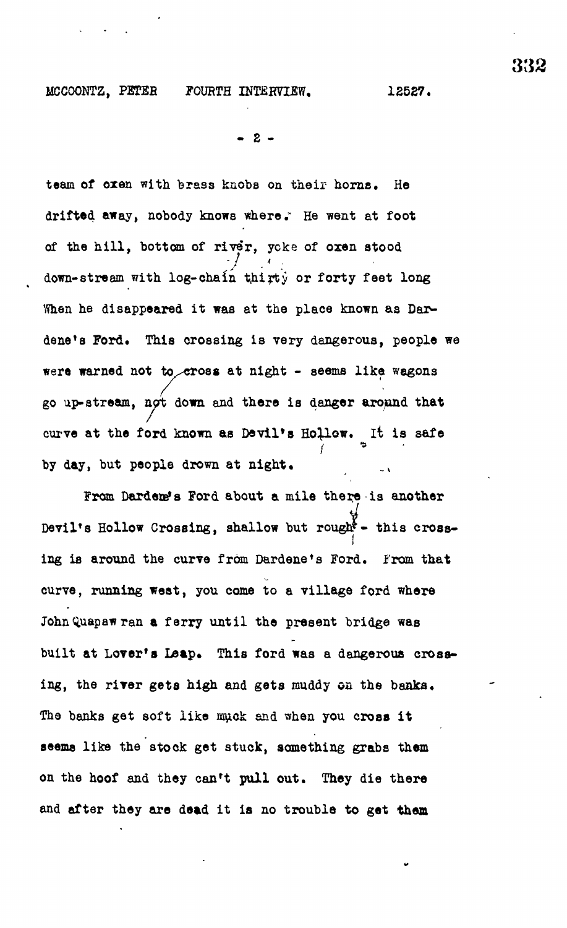« 2 -

team of oxen with brass knobs on their horns. He drifted away, nobody knows where." He went at foot of the hill, bottom of river, yoke of oxen stood down-stream with log-chain thirty or forty feet long When he disappeared it was at the place known as Dardene's Ford. This crossing is very dangerous, people we were warned not to cross at night - seems like wagons go up-stream, not down and there is danger around that curve at the ford known as Devil's Hollow. It is safe by day, but people drown at night.

From Darden's Ford about a mile there is another Devil's Hollow Crossing, shallow but rough<sup>2</sup> - this cross-! **ing is around the curve from Dardene\*s Ford, from that** curve, running west, you come to a village ford where **curve, running west, you come to a village ford where** John Quapawran a ferry until the present bridge was **John Quapaw ran a ferry until the present bridge was** built at Lover's Leap. This ford was a dangerous crossing, the river gets high and gets muddy on the banks. The banks get soft like muck and when you cross it **The banks get soft like mack and when you cross it** seems like the stock get stuck, something grabs them **seems like the stock get stuck, something grabs them** on the hoof and they can't pull out. They die there **on the hoof and they can<sup>f</sup>t pull out. They die there** and after they are dead it is no trouble to get them

**and after they are dead it is no trouble to get them**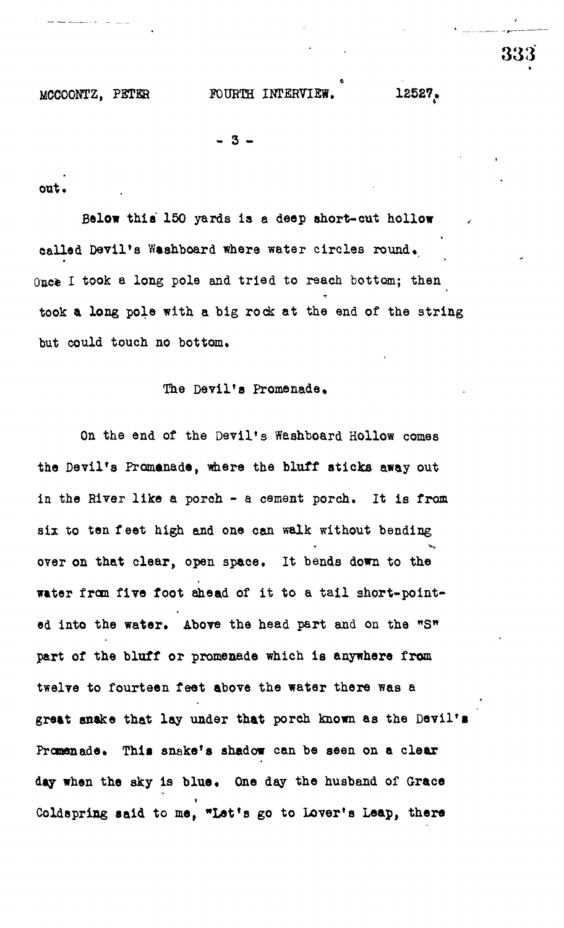MCCOONTZ, PETER FOURTH INTERVIEW. 12527.

**0**

**- 3 -**

**out •**

**Below this 150 yards is a deep short-cut hollow** *,* **called Devil's Yiashboard where water circles round.** Once I took a long pole and tried to reach bottom; then **took a long pole with a big rock at the end of the string** but could touch no bottom.

The Devil's Promenade.

**On the end of the Devil<sup>1</sup> s Washboard Hollow comes the Devil's Promenade, where the bluff sticks away out in the River like a porch - a cemsnt porch. It is from six to ten feet high and one can walk without bending** over on that clear, open space. It bends down to the **wtter from five foot ahead of it to a tail short-pointed into the water. Above the head part and on the "S" part of the bluff or promenade which is anywhere from twelve to fourteen feet above the water there was a great snake that lay under that porch known as the Devil's Promenade. This snake's shadow can be seen on a clear** day when the sky is blue. One day the husband of Grace **Coldspring said to me, "Let's go to Lover's Leap, there**

i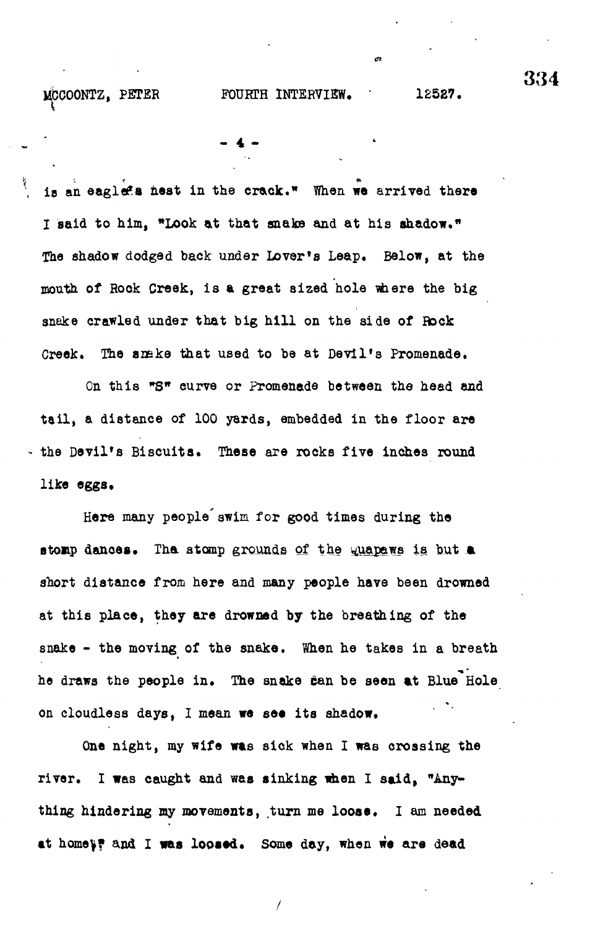libCOONTZ, PETER FOURTH INTERVIEW. ' 12587.

- 4 -

is an eaglefs nest in the crack." When we arrived there I said to him. "Look at that snake and at his shadow." The shadow dodged back under Lover's Leap. Below, at the mouth of Rook Creek., is a great sized hole where the big snake crawled under that big hill on the side of Rock Creek. The amake that used to be at Devil's Promenade.

On this "S" curve or Promenade between the head and tail, a distance of 100 yards, embedded in the floor are the Devil's Biscuits. These are rocks five inches round like eggs.

Here many people' swim for good times during the stomp dances. The stomp grounds of the quapaws is but a short distance from here and many people have been drowned at this place, they are drowned by the breathing of the snake - the moving of the snake. When he takes in a breath he draws the people in. The snake can be seen at Blue Hole on cloudless days, I mean we see its shadow.

One night, my wife was sick when I was crossing the river. I was caught and was sinking when I said, "Anything hindering my movements, turn me loose. I am needed at homey? and I was loosed. Some day, when we are dead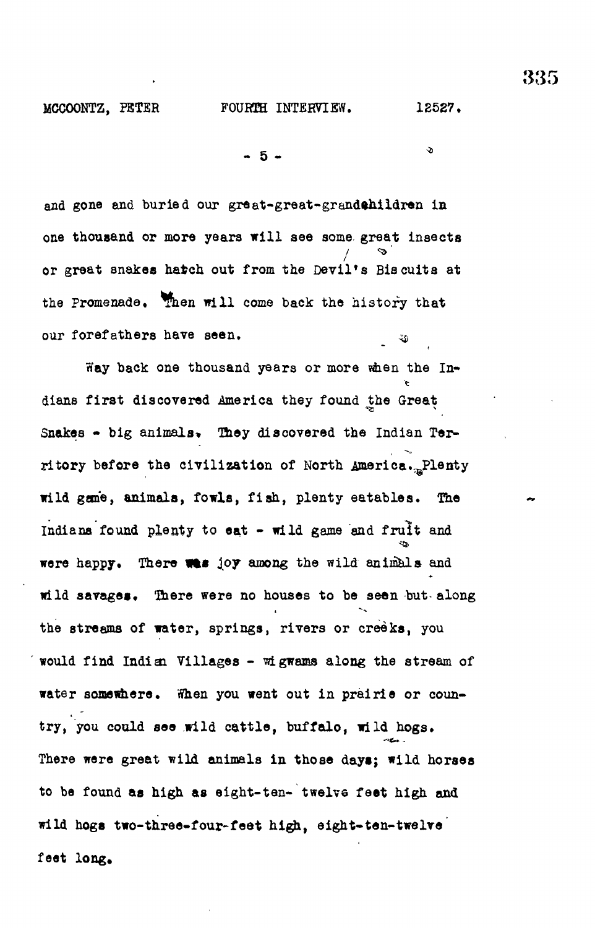and gone and buried our great-great-grandehildren in one thousand or more years will see some great insects  $\sim$   $\sim$ / or great snakes hatch out from the Devil<sup>f</sup> s Biscuits at the Promenade. Then will come back the history that our forefathers have seen.

 $-5 -$ 

Way back one thousand years or more when the Indians first discovered America they found the Great Snakes - big animals. They discovered the Indian Territory before the civilization of North America. Plenty wild game, animals, fowls, fish, plenty eatables. The Indians found plenty to eat - wild game and fruit and were happy. There wes joy among the wild animals and wild savages. There were no houses to be seen but- along the streams of water, springs, rivers or creeks, you would find Indian Villages - wigwams along the stream of water somewhere. When you went out in prairie or country, you could see wild cattle, buffalo, wild hogs. There were great wild animals in those **days;** wild horses to be found as high as eight-ten- twelve feet high and wild hogs two-three-four-feet high, eight-ten-twelve feet long.

12527.

S.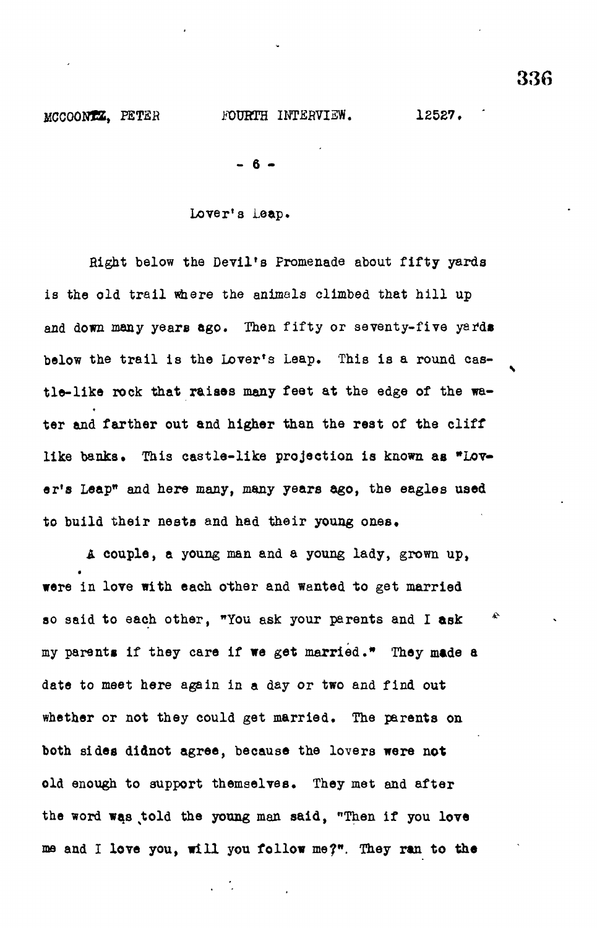MCCOONT ISLES KTHING AT A THE INTERVIEW.

 $\overline{a}$ 

## Lover's Leap.

Right below the Devil's Promenade about fifty yards is the old trail where the animals climbed that hill up and down many years ago. Then fifty or seventy-five yards below the trail is the Lover's Leap. This is a round castle-like rock that raises many feet at the edge of the water and farther out and higher than the rest of the cliff like banks. This castle-like projection is known as "Lover's Leap" and here many, many years ago, the eagles used to build their nests and had their young ones.

A couple, a young man and a young lady, grown up, were in love with each other and wanted to get married so said to each other, "You ask your parents and I ask my parents if they care if we get married." They made a date to meet here again in a day or two and find out whether or not they could get married. The parents on both sides didnot agree, because the lovers were not old enough to support themselves. They met and after the word was told the young man said, "Then if you love me and I love you, will you follow me?". They ran to the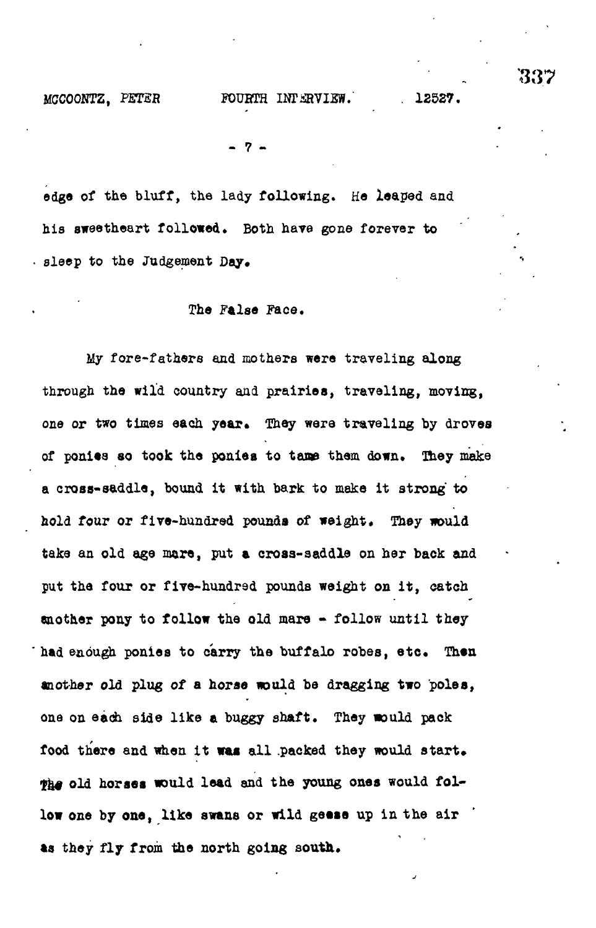MCCOONTZ, PETER FOURTH INTERVIEW. 12527.

**- 7 - •**

edge of the bluff, the lady following. He leaped and his sweetheart followed. Both have gone forever to sleep to the Judgement Day.

## The False Face.

My fore-fathers and mothers were traveling along through the wild country and prairies, traveling, moving, one or two times each year. They were traveling by droves of ponies so took the ponies to tame them down. They make a cross-saddle, bound it with bark to make it strong to hold four or five-hundred pounds of weight. They would take an old age mare, put a cross-saddle on her back and put the four or five-hundred pounds weight on it, catch enother pony to follow the old mare - follow until they had enough ponies to carry the buffalo robes, etc. Then toother old plug *of* a horse would be dragging two poles, one on each side like a buggy shaft. They would pack food there and when it was all .packed they would start. The old horses would lead and the young ones would follow one by one, like swans or wild geese up in the air as they fly from the north going south.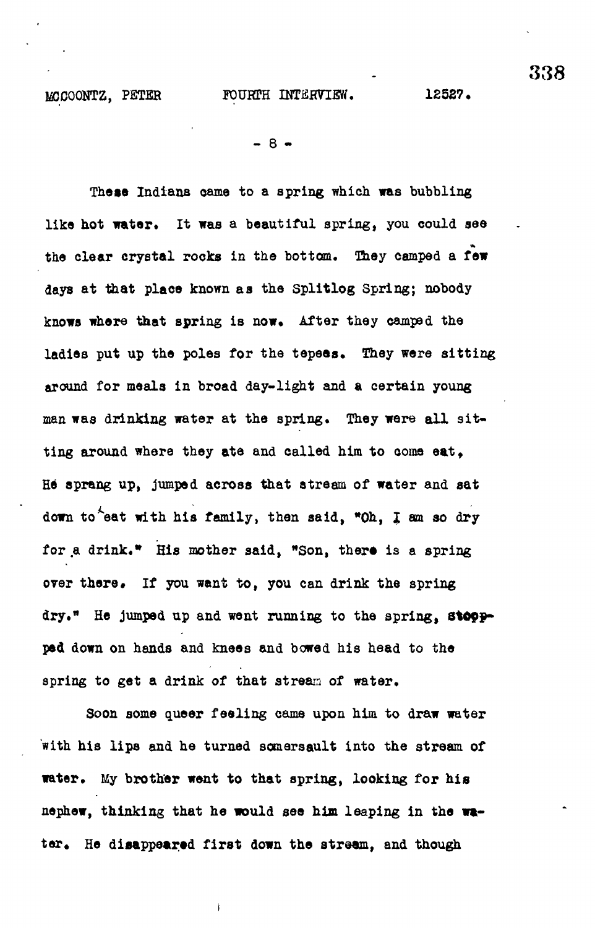**- 8 -**

**These Indiana came to a spring which was bubbling like hot water. It was a beautiful spring, you could see the clear crystal rocks in the bottom. They camped a few days at that place known as the splitlog Spring; nobody knows where that spring is now. After they camped the** ladies put up the poles for the tepees. They were sitting **around for meals in broad day-light and a certain young man was drinking water at the spring. They were all sitting around where they ate and called him to come eat, He sprang up, jumped across that stream of water and sat** down to eat with his family, then said, "Oh, I am so dry **for .a drink.\* His mother said, "Son, there is a spring** over there. If you want to, you can drink the spring **dry." He jumped up and went running to the spring, stoopped down on hands and knees and bowed his head to the spring to get a drink of that stream of water.**

**Soon some queer feeling came upon him to draw water with his lips and he turned somersault into the stream of water. My brother went to that spring, looking for his nephew, thinking that he would see him leaping in the w» ter. He disappeared first down the stream, and though**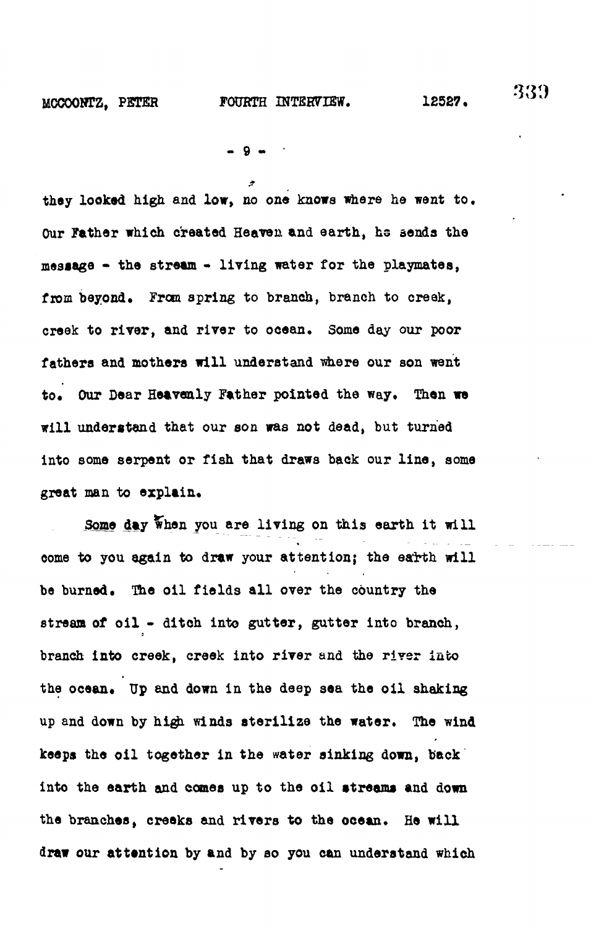**•I'M)**

*\*\*'*

 $-9 -$ 

a

they looked high and low, no one knows where he went to. **they looked high and low, no one knows where he went to.** Our Father which created Heaven and earth, he sends the message - the stream - living water for the playmates, **message - the stream - living water for the playmates,** from beyond. From spring to branch, branch to creek, **from beyond. From spring to branch, branch to creek,** creek to river, and river to ocean. Some day our poor **creek to river, and river to ocean. Some day our poor** fathers and mothers will understand where our son went to. Our Dear Heavenly Father pointed the way. Then we will understand that our son was not dead, but turned into some serpent or fish that draws back our line, some great man to explain.

Some day when you are living on this earth it will **Some day w\*hen you are living on this earth it will** come to you again to draw your attention; the earth will **come to you again to draw your attention; the earth will** be burned. The oil fields all over the country the **stream of oil - ditch into gutter, gutter into branch,** branch into creek, creek into river and the river into **branch into creek, creek into river and the river iafco** the ocean. Up and down in the deep sea the oil shaking **the ocean. Up and down in the deep saa the oil shaking** up and down by high winds sterilize the water. The wind **up and down by high winds sterilize the water. The wind keeps the oil together in the water sinking down, back into the earth and comes up to the oil atreams and down the branches, creeks and rivers to the ocean. He will draw our attention by and by so you can understand which**